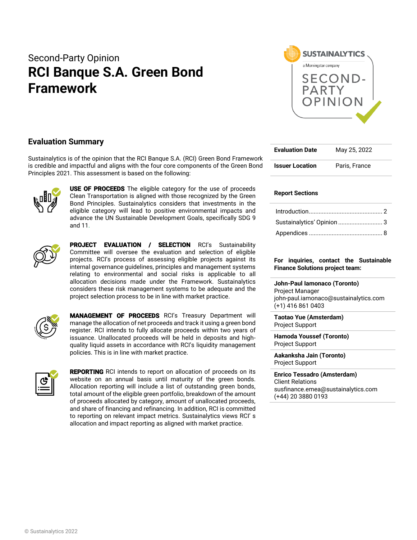# Second-Party Opinion **RCI Banque S.A. Green Bond Framework**



# **Evaluation Summary**

Sustainalytics is of the opinion that the RCI Banque S.A. (RCI) Green Bond Framework is credible and impactful and aligns with the four core components of the Green Bond Principles 2021. This assessment is based on the following:



**USE OF PROCEEDS** The eligible category for the use of proceeds Clean Transportation is aligned with those recognized by the Green Bond Principles. Sustainalytics considers that investments in the eligible category will lead to positive environmental impacts and advance the UN Sustainable Development Goals, specifically SDG 9 and 11.



PROJECT EVALUATION / SELECTION RCI's Sustainability Committee will oversee the evaluation and selection of eligible projects. RCI's process of assessing eligible projects against its internal governance guidelines, principles and management systems relating to environmental and social risks is applicable to all allocation decisions made under the Framework. Sustainalytics considers these risk management systems to be adequate and the project selection process to be in line with market practice.



MANAGEMENT OF PROCEEDS RCI's Treasury Department will manage the allocation of net proceeds and track it using a green bond register. RCI intends to fully allocate proceeds within two years of issuance. Unallocated proceeds will be held in deposits and highquality liquid assets in accordance with RCI's liquidity management policies. This is in line with market practice.



**REPORTING** RCI intends to report on allocation of proceeds on its website on an annual basis until maturity of the green bonds. Allocation reporting will include a list of outstanding green bonds, total amount of the eligible green portfolio, breakdown of the amount of proceeds allocated by category, amount of unallocated proceeds, and share of financing and refinancing. In addition, RCI is committed to reporting on relevant impact metrics. Sustainalytics views RCI' s allocation and impact reporting as aligned with market practice.

| <b>Evaluation Date</b> | May 25, 2022  |
|------------------------|---------------|
| <b>Issuer Location</b> | Paris, France |

## **Report Sections**

| Sustainalytics' Opinion  3 |  |
|----------------------------|--|
|                            |  |

### **For inquiries, contact the Sustainable Finance Solutions project team:**

**John-Paul Iamonaco (Toronto)** Project Manager john-paul.iamonaco@sustainalytics.com (+1) 416 861 0403

**Taotao Yue (Amsterdam)** Project Support

**Hamoda Youssef (Toronto)**  Project Support

**Aakanksha Jain (Toronto)**  Project Support

**Enrico Tessadro (Amsterdam)** Client Relations susfinance.emea@sustainalytics.com (+44) 20 3880 0193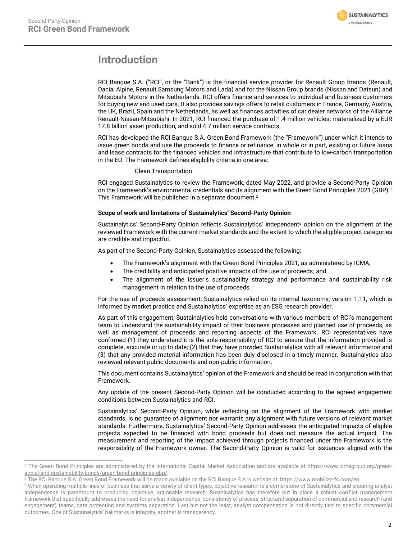

# <span id="page-1-0"></span>**Introduction**

RCI Banque S.A. ("RCI", or the "Bank") is the financial service provider for Renault Group brands (Renault, Dacia, Alpine, Renault Samsung Motors and Lada) and for the Nissan Group brands (Nissan and Datsun) and Mitsubishi Motors in the Netherlands. RCI offers finance and services to individual and business customers for buying new and used cars. It also provides savings offers to retail customers in France, Germany, Austria, the UK, Brazil, Spain and the Netherlands, as well as finances activities of car dealer networks of the Alliance Renault-Nissan-Mitsubishi. In 2021, RCI financed the purchase of 1.4 million vehicles, materialized by a EUR 17.8 billion asset production, and sold 4.7 million service contracts.

RCI has developed the RCI Banque S.A. Green Bond Framework (the "Framework") under which it intends to issue green bonds and use the proceeds to finance or refinance, in whole or in part, existing or future loans and lease contracts for the financed vehicles and infrastructure that contribute to low-carbon transportation in the EU. The Framework defines eligibility criteria in one area:

# Clean Transportation

RCI engaged Sustainalytics to review the Framework, dated May 2022, and provide a Second-Party Opinion on the Framework's environmental credentials and its alignment with the Green Bond Principles 2021 (GBP). 1 This Framework will be published in a separate document. 2

# **Scope of work and limitations of Sustainalytics' Second-Party Opinion**

Sustainalytics' Second-Party Opinion reflects Sustainalytics' independent<sup>3</sup> opinion on the alignment of the reviewed Framework with the current market standards and the extent to which the eligible project categories are credible and impactful.

As part of the Second-Party Opinion, Sustainalytics assessed the following:

- The Framework's alignment with the Green Bond Principles 2021, as administered by ICMA;
- The credibility and anticipated positive impacts of the use of proceeds; and
- The alignment of the issuer's sustainability strategy and performance and sustainability risk management in relation to the use of proceeds.

For the use of proceeds assessment, Sustainalytics relied on its internal taxonomy, version 1.11, which is informed by market practice and Sustainalytics' expertise as an ESG research provider.

As part of this engagement, Sustainalytics held conversations with various members of RCI's management team to understand the sustainability impact of their business processes and planned use of proceeds, as well as management of proceeds and reporting aspects of the Framework. RCI representatives have confirmed (1) they understand it is the sole responsibility of RCI to ensure that the information provided is complete, accurate or up to date; (2) that they have provided Sustainalytics with all relevant information and (3) that any provided material information has been duly disclosed in a timely manner. Sustainalytics also reviewed relevant public documents and non-public information.

This document contains Sustainalytics' opinion of the Framework and should be read in conjunction with that Framework.

Any update of the present Second-Party Opinion will be conducted according to the agreed engagement conditions between Sustainalytics and RCI.

Sustainalytics' Second-Party Opinion, while reflecting on the alignment of the Framework with market standards, is no guarantee of alignment nor warrants any alignment with future versions of relevant market standards. Furthermore, Sustainalytics' Second-Party Opinion addresses the anticipated impacts of eligible projects expected to be financed with bond proceeds but does not measure the actual impact. The measurement and reporting of the impact achieved through projects financed under the Framework is the responsibility of the Framework owner. The Second-Party Opinion is valid for issuances aligned with the

<sup>&</sup>lt;sup>1</sup> The Green Bond Principles are administered by the International Capital Market Association and are available at [https://www.icmagroup.org/green](https://www.icmagroup.org/green-social-and-sustainability-bonds/green-bond-principles-gbp/)[social-and-sustainability-bonds/green-bond-principles-gbp/.](https://www.icmagroup.org/green-social-and-sustainability-bonds/green-bond-principles-gbp/)

<sup>2</sup> The RCI Banque S.A. Green Bond Framework will be made available on the RCI Banque S.A.'s website at: <https://www.mobilize-fs.com/en>

<sup>&</sup>lt;sup>3</sup> When operating multiple lines of business that serve a variety of client types, objective research is a cornerstone of Sustainalytics and ensuring analyst independence is paramount to producing objective, actionable research. Sustainalytics has therefore put in place a robust conflict management framework that specifically addresses the need for analyst independence, consistency of process, structural separation of commercial and research (and engagement) teams, data protection and systems separation. Last but not the least, analyst compensation is not directly tied to specific commercial outcomes. One of Sustainalytics' hallmarks is integrity, another is transparency.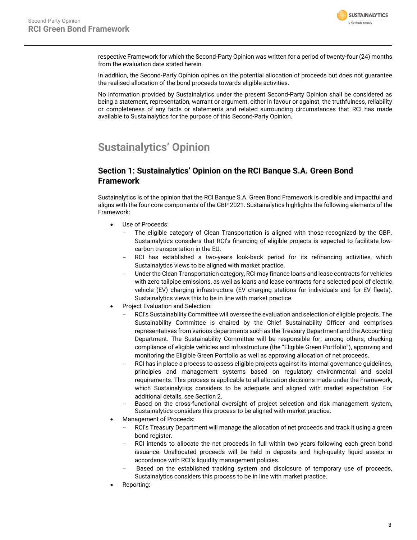

respective Framework for which the Second-Party Opinion was written for a period of twenty-four (24) months from the evaluation date stated herein.

In addition, the Second-Party Opinion opines on the potential allocation of proceeds but does not guarantee the realised allocation of the bond proceeds towards eligible activities.

No information provided by Sustainalytics under the present Second-Party Opinion shall be considered as being a statement, representation, warrant or argument, either in favour or against, the truthfulness, reliability or completeness of any facts or statements and related surrounding circumstances that RCI has made available to Sustainalytics for the purpose of this Second-Party Opinion.

# <span id="page-2-0"></span>**Sustainalytics' Opinion**

# **Section 1: Sustainalytics' Opinion on the RCI Banque S.A. Green Bond Framework**

Sustainalytics is of the opinion that the RCI Banque S.A. Green Bond Framework is credible and impactful and aligns with the four core components of the GBP 2021. Sustainalytics highlights the following elements of the Framework:

- Use of Proceeds:
	- The eligible category of Clean Transportation is aligned with those recognized by the GBP. Sustainalytics considers that RCI's financing of eligible projects is expected to facilitate lowcarbon transportation in the EU.
	- RCI has established a two-years look-back period for its refinancing activities, which Sustainalytics views to be aligned with market practice.
	- Under the Clean Transportation category, RCI may finance loans and lease contracts for vehicles with zero tailpipe emissions, as well as loans and lease contracts for a selected pool of electric vehicle (EV) charging infrastructure (EV charging stations for individuals and for EV fleets). Sustainalytics views this to be in line with market practice.
- Project Evaluation and Selection:
	- RCI's Sustainability Committee will oversee the evaluation and selection of eligible projects. The Sustainability Committee is chaired by the Chief Sustainability Officer and comprises representatives from various departments such as the Treasury Department and the Accounting Department. The Sustainability Committee will be responsible for, among others, checking compliance of eligible vehicles and infrastructure (the "Eligible Green Portfolio"), approving and monitoring the Eligible Green Portfolio as well as approving allocation of net proceeds.
	- RCI has in place a process to assess eligible projects against its internal governance guidelines, principles and management systems based on regulatory environmental and social requirements. This process is applicable to all allocation decisions made under the Framework, which Sustainalytics considers to be adequate and aligned with market expectation. For additional details, see Section 2.
	- Based on the cross-functional oversight of project selection and risk management system, Sustainalytics considers this process to be aligned with market practice.
- Management of Proceeds:
	- RCI's Treasury Department will manage the allocation of net proceeds and track it using a green bond register.
	- RCI intends to allocate the net proceeds in full within two years following each green bond issuance. Unallocated proceeds will be held in deposits and high-quality liquid assets in accordance with RCI's liquidity management policies.
	- Based on the established tracking system and disclosure of temporary use of proceeds, Sustainalytics considers this process to be in line with market practice.
- Reporting: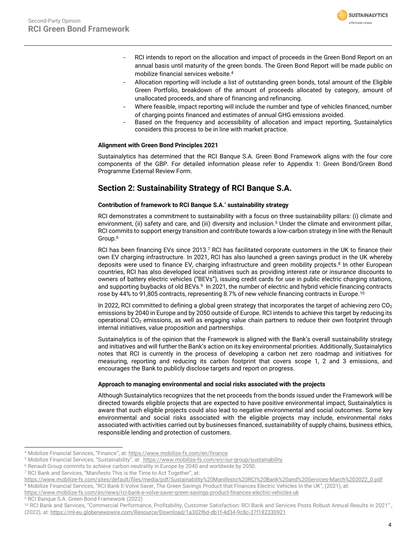

- RCI intends to report on the allocation and impact of proceeds in the Green Bond Report on an annual basis until maturity of the green bonds. The Green Bond Report will be made public on mobilize financial services website.<sup>4</sup>
- Allocation reporting will include a list of outstanding green bonds, total amount of the Eligible Green Portfolio, breakdown of the amount of proceeds allocated by category, amount of unallocated proceeds, and share of financing and refinancing.
- Where feasible, impact reporting will include the number and type of vehicles financed, number of charging points financed and estimates of annual GHG emissions avoided.
- Based on the frequency and accessibility of allocation and impact reporting, Sustainalytics considers this process to be in line with market practice.

# **Alignment with Green Bond Principles 2021**

Sustainalytics has determined that the RCI Banque S.A. Green Bond Framework aligns with the four core components of the GBP. For detailed information please refer to Appendix 1: Green Bond/Green Bond Programme External Review Form.

# **Section 2: Sustainability Strategy of RCI Banque S.A.**

# **Contribution of framework to RCI Banque S.A.' sustainability strategy**

RCI demonstrates a commitment to sustainability with a focus on three sustainability pillars: (i) climate and environment, (ii) safety and care, and (iii) diversity and inclusion. <sup>5</sup> Under the climate and environment pillar, RCI commits to support energy transition and contribute towards a low-carbon strategy in line with the Renault Group.<sup>6</sup>

RCI has been financing EVs since 2013.<sup>7</sup> RCI has facilitated corporate customers in the UK to finance their own EV charging infrastructure. In 2021, RCI has also launched a green savings product in the UK whereby deposits were used to finance EV, charging infrastructure and green mobility projects. <sup>8</sup> In other European countries, RCI has also developed local initiatives such as providing interest rate or insurance discounts to owners of battery electric vehicles ("BEVs"), issuing credit cards for use in public electric charging stations, and supporting buybacks of old BEVs.<sup>9</sup> In 2021, the number of electric and hybrid vehicle financing contracts rose by 44% to 91,805 contracts, representing 8.7% of new vehicle financing contracts in Europe.<sup>10</sup>

In 2022, RCI committed to defining a global green strategy that incorporates the target of achieving zero  $CO<sub>2</sub>$ emissions by 2040 in Europe and by 2050 outside of Europe. RCI intends to achieve this target by reducing its operational  $CO<sub>2</sub>$  emissions, as well as engaging value chain partners to reduce their own footprint through internal initiatives, value proposition and partnerships.

Sustainalytics is of the opinion that the Framework is aligned with the Bank's overall sustainability strategy and initiatives and will further the Bank's action on its key environmental priorities. Additionally, Sustainalytics notes that RCI is currently in the process of developing a carbon net zero roadmap and initiatives for measuring, reporting and reducing its carbon footprint that covers scope 1, 2 and 3 emissions, and encourages the Bank to publicly disclose targets and report on progress.

## **Approach to managing environmental and social risks associated with the projects**

Although Sustainalytics recognizes that the net proceeds from the bonds issued under the Framework will be directed towards eligible projects that are expected to have positive environmental impact, Sustainalytics is aware that such eligible projects could also lead to negative environmental and social outcomes. Some key environmental and social risks associated with the eligible projects may include, environmental risks associated with activities carried out by businesses financed, sustainability of supply chains, business ethics, responsible lending and protection of customers.

<sup>7</sup> RCI Bank and Services, "Manifesto This is the Time to Act Together", at:

<sup>8</sup> Mobilize Financial Services, "RCI Bank E-Volve Saver, The Green Savings Product that Finances Electric Vehicles In the UK", (2021), at:

<sup>4</sup> Mobilize Financial Services, "Finance", at: <https://www.mobilize-fs.com/en/finance>

<sup>5</sup> Mobilize Financial Services, "Sustainability", at: <https://www.mobilize-fs.com/en/our-group/sustainability>

<sup>6</sup> Renault Group commits to achieve carbon neutrality in Europe by 2040 and worldwide by 2050.

[https://www.mobilize-fs.com/sites/default/files/media/pdf/Sustainability%20Manifesto%20RCI%20Bank%20and%20Services-March%202022\\_0.pdf](https://www.mobilize-fs.com/sites/default/files/media/pdf/Sustainability%20Manifesto%20RCI%20Bank%20and%20Services-March%202022_0.pdf)

<https://www.mobilize-fs.com/en/news/rci-bank-e-volve-saver-green-savings-product-finances-electric-vehicles-uk>

<sup>9</sup> RCI Banque S.A. Green Bond Framework (2022)

<sup>10</sup> RCI Bank and Services, "Commercial Performance, Profitability, Customer Satisfaction: RCI Bank and Services Posts Robust Annual Results in 2021" , (2022), at[: https://ml-eu.globenewswire.com/Resource/Download/1a302f6d-db1f-4d34-9c8c-37f182330921](https://ml-eu.globenewswire.com/Resource/Download/1a302f6d-db1f-4d34-9c8c-37f182330921)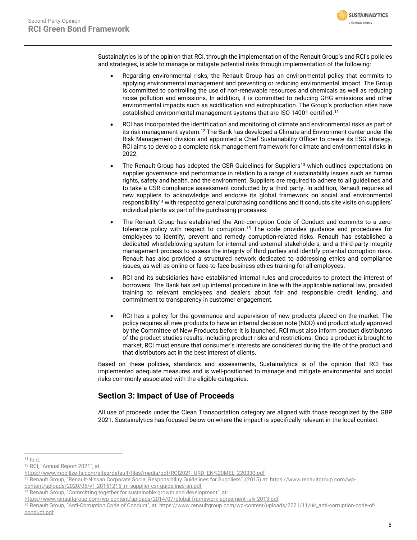Sustainalytics is of the opinion that RCI, through the implementation of the Renault Group's and RCI's policies and strategies, is able to manage or mitigate potential risks through implementation of the following:

- Regarding environmental risks, the Renault Group has an environmental policy that commits to applying environmental management and preventing or reducing environmental impact. The Group is committed to controlling the use of non-renewable resources and chemicals as well as reducing noise pollution and emissions. In addition, it is committed to reducing GHG emissions and other environmental impacts such as acidification and eutrophication. The Group's production sites have established environmental management systems that are ISO 14001 certified.<sup>11</sup>
- RCI has incorporated the identification and monitoring of climate and environmental risks as part of its risk management system.<sup>12</sup> The Bank has developed a Climate and Environment center under the Risk Management division and appointed a Chief Sustainability Officer to create its ESG strategy. RCI aims to develop a complete risk management framework for climate and environmental risks in 2022.
- The Renault Group has adopted the CSR Guidelines for Suppliers<sup>13</sup> which outlines expectations on supplier governance and performance in relation to a range of sustainability issues such as human rights, safety and health, and the environment. Suppliers are required to adhere to all guidelines and to take a CSR compliance assessment conducted by a third party. In addition, Renault requires all new suppliers to acknowledge and endorse its global framework on social and environmental responsibility<sup>14</sup> with respect to general purchasing conditions and it conducts site visits on suppliers' individual plants as part of the purchasing processes.
- The Renault Group has established the Anti-corruption Code of Conduct and commits to a zerotolerance policy with respect to corruption. <sup>15</sup> The code provides guidance and procedures for employees to identify, prevent and remedy corruption-related risks. Renault has established a dedicated whistleblowing system for internal and external stakeholders, and a third-party integrity management process to assess the integrity of third parties and identify potential corruption risks. Renault has also provided a structured network dedicated to addressing ethics and compliance issues, as well as online or face-to-face business ethics training for all employees.
- RCI and its subsidiaries have established internal rules and procedures to protect the interest of borrowers. The Bank has set up internal procedure in line with the applicable national law, provided training to relevant employees and dealers about fair and responsible credit lending, and commitment to transparency in customer engagement.
- RCI has a policy for the governance and supervision of new products placed on the market. The policy requires all new products to have an internal decision note (NDD) and product study approved by the Committee of New Products before it is launched. RCI must also inform product distributors of the product studies results, including product risks and restrictions. Once a product is brought to market, RCI must ensure that consumer's interests are considered during the life of the product and that distributors act in the best interest of clients.

Based on these policies, standards and assessments, Sustainalytics is of the opinion that RCI has implemented adequate measures and is well-positioned to manage and mitigate environmental and social risks commonly associated with the eligible categories.

# **Section 3: Impact of Use of Proceeds**

All use of proceeds under the Clean Transportation category are aligned with those recognized by the GBP 2021. Sustainalytics has focused below on where the impact is specifically relevant in the local context.

**SUSTAINALYTICS** Morningstar company

<sup>11</sup> Ibid.

<sup>12</sup> RCI, "Annual Report 2021", at:

[https://www.mobilize-fs.com/sites/default/files/media/pdf/RCI2021\\_URD\\_EN%20MEL\\_220330.pdf](https://www.mobilize-fs.com/sites/default/files/media/pdf/RCI2021_URD_EN%20MEL_220330.pdf)

<sup>&</sup>lt;sup>13</sup> Renault Group, "Renault-Nissan Corporate Social Responsibility Guidelines for Suppliers", (2015) at: [https://www.renaultgroup.com/wp-](https://www.renaultgroup.com/wp-content/uploads/2020/06/v1-20151215_rn-supplier-csr-guidelines-en.pdf)

[content/uploads/2020/06/v1-20151215\\_rn-supplier-csr-guidelines-en.pdf](https://www.renaultgroup.com/wp-content/uploads/2020/06/v1-20151215_rn-supplier-csr-guidelines-en.pdf)

<sup>&</sup>lt;sup>14</sup> Renault Group, "Committing together for sustainable growth and development", at:

<https://www.renaultgroup.com/wp-content/uploads/2014/07/global-framework-agreement-july-2013.pdf>

<sup>15</sup> Renault Group, "Anti-Corruption Code of Conduct", at: [https://www.renaultgroup.com/wp-content/uploads/2021/11/uk\\_anti-corruption-code-of](https://www.renaultgroup.com/wp-content/uploads/2021/11/uk_anti-corruption-code-of-conduct.pdf)[conduct.pdf](https://www.renaultgroup.com/wp-content/uploads/2021/11/uk_anti-corruption-code-of-conduct.pdf)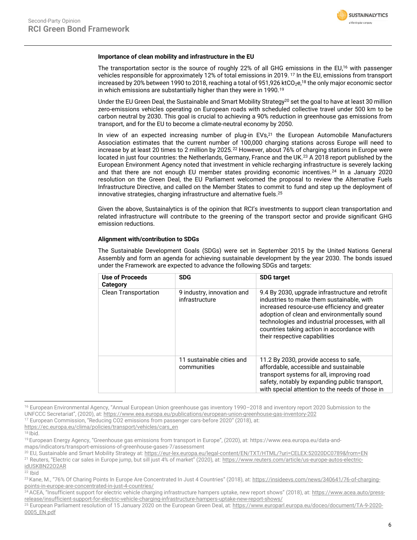

### **Importance of clean mobility and infrastructure in the EU**

The transportation sector is the source of roughly 22% of all GHG emissions in the EU, <sup>16</sup> with passenger vehicles responsible for approximately 12% of total emissions in 2019. <sup>17</sup> In the EU, emissions from transport increased by 20% between 1990 to 2018, reaching a total of 951,926 ktCO<sub>2</sub>e,<sup>18</sup> the only major economic sector in which emissions are substantially higher than they were in 1990.<sup>19</sup>

Under the EU Green Deal, the Sustainable and Smart Mobility Strategy<sup>20</sup> set the goal to have at least 30 million zero-emissions vehicles operating on European roads with scheduled collective travel under 500 km to be carbon neutral by 2030. This goal is crucial to achieving a 90% reduction in greenhouse gas emissions from transport, and for the EU to become a climate-neutral economy by 2050.

In view of an expected increasing number of plug-in EVs,<sup>21</sup> the European Automobile Manufacturers Association estimates that the current number of 100,000 charging stations across Europe will need to increase by at least 20 times to 2 million by 2025.<sup>22</sup> However, about 76% of charging stations in Europe were located in just four countries: the Netherlands, Germany, France and the UK.<sup>23</sup> A 2018 report published by the European Environment Agency noted that investment in vehicle recharging infrastructure is severely lacking and that there are not enough EU member states providing economic incentives.<sup>24</sup> In a January 2020 resolution on the Green Deal, the EU Parliament welcomed the proposal to review the Alternative Fuels Infrastructure Directive, and called on the Member States to commit to fund and step up the deployment of innovative strategies, charging infrastructure and alternative fuels. 25

Given the above, Sustainalytics is of the opinion that RCI's investments to support clean transportation and related infrastructure will contribute to the greening of the transport sector and provide significant GHG emission reductions.

#### **Alignment with/contribution to SDGs**

The Sustainable Development Goals (SDGs) were set in September 2015 by the United Nations General Assembly and form an agenda for achieving sustainable development by the year 2030. The bonds issued under the Framework are expected to advance the following SDGs and targets:

| Use of Proceeds<br>Category | <b>SDG</b>                                   | <b>SDG target</b>                                                                                                                                                                                                                                                                                                               |
|-----------------------------|----------------------------------------------|---------------------------------------------------------------------------------------------------------------------------------------------------------------------------------------------------------------------------------------------------------------------------------------------------------------------------------|
| <b>Clean Transportation</b> | 9 industry, innovation and<br>infrastructure | 9.4 By 2030, upgrade infrastructure and retrofit<br>industries to make them sustainable, with<br>increased resource-use efficiency and greater<br>adoption of clean and environmentally sound<br>technologies and industrial processes, with all<br>countries taking action in accordance with<br>their respective capabilities |
|                             | 11 sustainable cities and<br>communities     | 11.2 By 2030, provide access to safe,<br>affordable, accessible and sustainable<br>transport systems for all, improving road<br>safety, notably by expanding public transport,<br>with special attention to the needs of those in                                                                                               |

<sup>&</sup>lt;sup>16</sup> European Environmental Agency, "Annual European Union greenhouse gas inventory 1990–2018 and inventory report 2020 Submission to the UNFCCC Secretariat", (2020), at: <https://www.eea.europa.eu/publications/european-union-greenhouse-gas-inventory-202>

<sup>17</sup> European Commission, "Reducing CO2 emissions from passenger cars-before 2020" (2018), at:

 $18$  Ibid.

 $22$  Ibid

[https://ec.europa.eu/clima/policies/transport/vehicles/cars\\_en](https://ec.europa.eu/clima/policies/transport/vehicles/cars_en)

<sup>19</sup> European Energy Agency, "Greenhouse gas emissions from transport in Europe", (2020), at: [https://www.eea.europa.eu/data-and-](https://www.eea.europa.eu/data-and-maps/indicators/transport-emissions-of-greenhouse-gases-7/assessment)

[maps/indicators/transport-emissions-of-greenhouse-gases-7/assessment](https://www.eea.europa.eu/data-and-maps/indicators/transport-emissions-of-greenhouse-gases-7/assessment)  <sup>20</sup> EU, Sustainable and Smart Mobility Strategy at[: https://eur-lex.europa.eu/legal-content/EN/TXT/HTML/?uri=CELEX:52020DC0789&from=EN](https://eur-lex.europa.eu/legal-content/EN/TXT/HTML/?uri=CELEX:52020DC0789&from=EN)

<sup>&</sup>lt;sup>21</sup> Reuters, "Electric car sales in Europe jump, but sill just 4% of market" (2020), at: [https://www.reuters.com/article/us-europe-autos-electric](https://www.reuters.com/article/us-europe-autos-electric-idUSKBN22O2AR)[idUSKBN22O2AR](https://www.reuters.com/article/us-europe-autos-electric-idUSKBN22O2AR)

<sup>&</sup>lt;sup>23</sup> Kane, M., "76% Of Charing Points In Europe Are Concentrated In Just 4 Countries" (2018), at: [https://insideevs.com/news/340641/76-of-charging](https://insideevs.com/news/340641/76-of-charging-points-in-europe-are-concentrated-in-just-4-countries/)[points-in-europe-are-concentrated-in-just-4-countries/](https://insideevs.com/news/340641/76-of-charging-points-in-europe-are-concentrated-in-just-4-countries/)

<sup>&</sup>lt;sup>24</sup> ACEA, "Insufficient support for electric vehicle charging infrastructure hampers uptake, new report shows" (2018), at: [https://www.acea.auto/press](https://www.acea.auto/press-release/insufficient-support-for-electric-vehicle-charging-infrastructure-hampers-uptake-new-report-shows/)[release/insufficient-support-for-electric-vehicle-charging-infrastructure-hampers-uptake-new-report-shows/](https://www.acea.auto/press-release/insufficient-support-for-electric-vehicle-charging-infrastructure-hampers-uptake-new-report-shows/)

<sup>&</sup>lt;sup>25</sup> European Parliament resolution of 15 January 2020 on the European Green Deal, at[: https://www.europarl.europa.eu/doceo/document/TA-9-2020-](https://www.europarl.europa.eu/doceo/document/TA-9-2020-0005_EN.pdf) [0005\\_EN.pdf](https://www.europarl.europa.eu/doceo/document/TA-9-2020-0005_EN.pdf)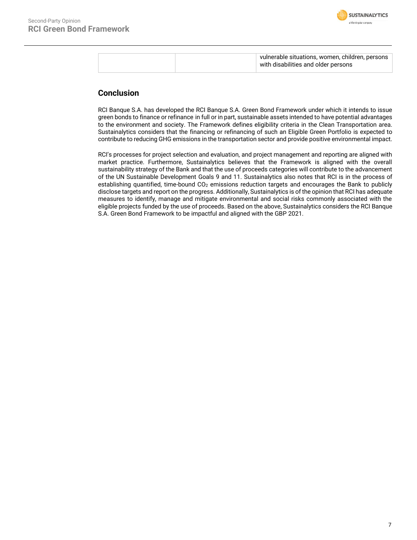

|  | vulnerable situations, women, children, persons |
|--|-------------------------------------------------|
|  | with disabilities and older persons             |
|  |                                                 |

# **Conclusion**

RCI Banque S.A. has developed the RCI Banque S.A. Green Bond Framework under which it intends to issue green bonds to finance or refinance in full or in part, sustainable assets intended to have potential advantages to the environment and society. The Framework defines eligibility criteria in the Clean Transportation area. Sustainalytics considers that the financing or refinancing of such an Eligible Green Portfolio is expected to contribute to reducing GHG emissions in the transportation sector and provide positive environmental impact.

<span id="page-6-0"></span>RCI's processes for project selection and evaluation, and project management and reporting are aligned with market practice. Furthermore, Sustainalytics believes that the Framework is aligned with the overall sustainability strategy of the Bank and that the use of proceeds categories will contribute to the advancement of the UN Sustainable Development Goals 9 and 11. Sustainalytics also notes that RCI is in the process of establishing quantified, time-bound  $CO<sub>2</sub>$  emissions reduction targets and encourages the Bank to publicly disclose targets and report on the progress. Additionally, Sustainalytics is of the opinion that RCI has adequate measures to identify, manage and mitigate environmental and social risks commonly associated with the eligible projects funded by the use of proceeds. Based on the above, Sustainalytics considers the RCI Banque S.A. Green Bond Framework to be impactful and aligned with the GBP 2021.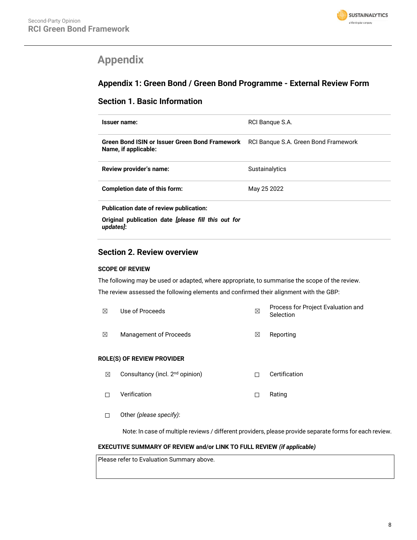

# **Appendix**

# **Appendix 1: Green Bond / Green Bond Programme - External Review Form**

# **Section 1. Basic Information**

| Issuer name:                                                                                                | RCI Bangue S.A. |
|-------------------------------------------------------------------------------------------------------------|-----------------|
| Green Bond ISIN or Issuer Green Bond Framework RCI Bangue S.A. Green Bond Framework<br>Name, if applicable: |                 |
| Review provider's name:                                                                                     | Sustainalytics  |
| Completion date of this form:                                                                               | May 25 2022     |
| Publication date of review publication:                                                                     |                 |
| Original publication date <i>[please fill this out for</i><br>updates]:                                     |                 |

# **Section 2. Review overview**

# **SCOPE OF REVIEW**

The following may be used or adapted, where appropriate, to summarise the scope of the review. The review assessed the following elements and confirmed their alignment with the GBP:

| ⊠ | Use of Proceeds        | ⊠ | Process for Project Evaluation and<br>Selection |
|---|------------------------|---|-------------------------------------------------|
| ⊠ | Management of Proceeds | M | Reporting                                       |

# **ROLE(S) OF REVIEW PROVIDER**

- **⊠** Consultancy (incl. 2<sup>nd</sup> opinion) □ □ Certification
- ☐ Verification ☐ Rating
- ☐ Other *(please specify)*:

Note: In case of multiple reviews / different providers, please provide separate forms for each review.

# **EXECUTIVE SUMMARY OF REVIEW and/or LINK TO FULL REVIEW** *(if applicable)*

Please refer to Evaluation Summary above.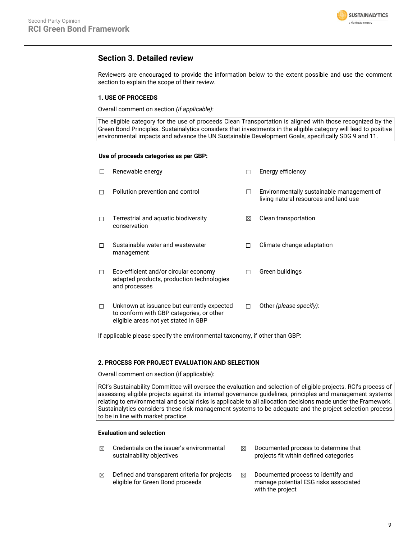

# **Section 3. Detailed review**

Reviewers are encouraged to provide the information below to the extent possible and use the comment section to explain the scope of their review.

# **1. USE OF PROCEEDS**

Overall comment on section *(if applicable)*:

The eligible category for the use of proceeds Clean Transportation is aligned with those recognized by the Green Bond Principles. Sustainalytics considers that investments in the eligible category will lead to positive environmental impacts and advance the UN Sustainable Development Goals, specifically SDG 9 and 11.

## **Use of proceeds categories as per GBP:**

|   | Renewable energy                                                                                                               |   | Energy efficiency                                                                  |
|---|--------------------------------------------------------------------------------------------------------------------------------|---|------------------------------------------------------------------------------------|
|   | Pollution prevention and control                                                                                               |   | Environmentally sustainable management of<br>living natural resources and land use |
| П | Terrestrial and aquatic biodiversity<br>conservation                                                                           | ⊠ | Clean transportation                                                               |
|   | Sustainable water and wastewater<br>management                                                                                 | П | Climate change adaptation                                                          |
| П | Eco-efficient and/or circular economy<br>adapted products, production technologies<br>and processes                            | П | Green buildings                                                                    |
| П | Unknown at issuance but currently expected<br>to conform with GBP categories, or other<br>eligible areas not yet stated in GBP | П | Other (please specify):                                                            |

If applicable please specify the environmental taxonomy, if other than GBP:

# **2. PROCESS FOR PROJECT EVALUATION AND SELECTION**

Overall comment on section (if applicable):

RCI's Sustainability Committee will oversee the evaluation and selection of eligible projects. RCI's process of assessing eligible projects against its internal governance guidelines, principles and management systems relating to environmental and social risks is applicable to all allocation decisions made under the Framework. Sustainalytics considers these risk management systems to be adequate and the project selection process to be in line with market practice.

# **Evaluation and selection**

- $\boxtimes$  Credentials on the issuer's environmental sustainability objectives
- $\boxtimes$  Defined and transparent criteria for projects eligible for Green Bond proceeds
- $\boxtimes$  Documented process to determine that projects fit within defined categories
- $\boxtimes$  Documented process to identify and manage potential ESG risks associated with the project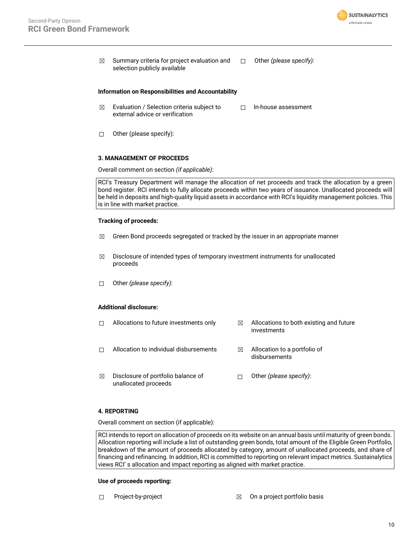

 $\boxtimes$  Summary criteria for project evaluation and selection publicly available ☐ Other *(please specify):*

#### **Information on Responsibilities and Accountability**

- $\boxtimes$  Evaluation / Selection criteria subject to external advice or verification ☐ In-house assessment
- ☐ Other (please specify):

#### **3. MANAGEMENT OF PROCEEDS**

Overall comment on section *(if applicable)*:

RCI's Treasury Department will manage the allocation of net proceeds and track the allocation by a green bond register. RCI intends to fully allocate proceeds within two years of issuance. Unallocated proceeds will be held in deposits and high-quality liquid assets in accordance with RCI's liquidity management policies. This is in line with market practice.

#### **Tracking of proceeds:**

- $\boxtimes$  Green Bond proceeds segregated or tracked by the issuer in an appropriate manner
- $\boxtimes$  Disclosure of intended types of temporary investment instruments for unallocated proceeds
- ☐ Other *(please specify)*:

## **Additional disclosure:**

- $\Box$  Allocations to future investments only  $\boxtimes$  Allocations to both existing and future
- investments
- □ Allocation to individual disbursements <sub>△</sub> Allocation to a portfolio of
	- disbursements
- $\boxtimes$  Disclosure of portfolio balance of unallocated proceeds ☐ Other *(please specify)*:

## **4. REPORTING**

Overall comment on section (if applicable):

RCI intends to report on allocation of proceeds on its website on an annual basis until maturity of green bonds. Allocation reporting will include a list of outstanding green bonds, total amount of the Eligible Green Portfolio, breakdown of the amount of proceeds allocated by category, amount of unallocated proceeds, and share of financing and refinancing. In addition, RCI is committed to reporting on relevant impact metrics. Sustainalytics views RCI' s allocation and impact reporting as aligned with market practice.

#### **Use of proceeds reporting:**

- 
- $\Box$  Project-by-project  $\boxtimes$  On a project portfolio basis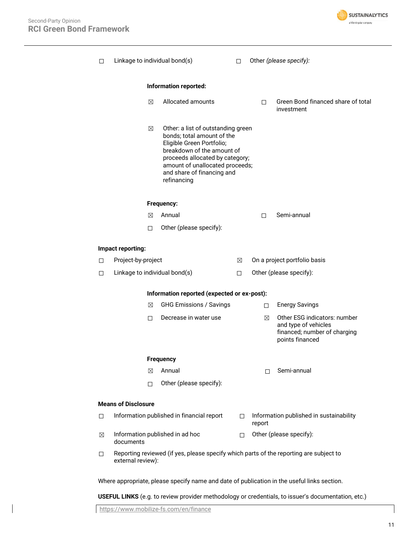

| п      |                                                                                             | Linkage to individual bond(s)                                                                                                                                                                                                                  | П. |        | Other (please specify):                                                                                 |
|--------|---------------------------------------------------------------------------------------------|------------------------------------------------------------------------------------------------------------------------------------------------------------------------------------------------------------------------------------------------|----|--------|---------------------------------------------------------------------------------------------------------|
|        |                                                                                             | Information reported:                                                                                                                                                                                                                          |    |        |                                                                                                         |
|        | ⊠                                                                                           | Allocated amounts                                                                                                                                                                                                                              |    | П.     | Green Bond financed share of total<br>investment                                                        |
|        | ⊠                                                                                           | Other: a list of outstanding green<br>bonds; total amount of the<br>Eligible Green Portfolio;<br>breakdown of the amount of<br>proceeds allocated by category;<br>amount of unallocated proceeds;<br>and share of financing and<br>refinancing |    |        |                                                                                                         |
|        |                                                                                             | Frequency:                                                                                                                                                                                                                                     |    |        |                                                                                                         |
|        | ⊠                                                                                           | Annual                                                                                                                                                                                                                                         |    | П.     | Semi-annual                                                                                             |
|        | П.                                                                                          | Other (please specify):                                                                                                                                                                                                                        |    |        |                                                                                                         |
|        | Impact reporting:                                                                           |                                                                                                                                                                                                                                                |    |        |                                                                                                         |
| П.     | Project-by-project                                                                          |                                                                                                                                                                                                                                                | ⊠  |        | On a project portfolio basis                                                                            |
| П      |                                                                                             | Linkage to individual bond(s)                                                                                                                                                                                                                  | П  |        | Other (please specify):                                                                                 |
|        |                                                                                             | Information reported (expected or ex-post):                                                                                                                                                                                                    |    |        |                                                                                                         |
|        | ⊠                                                                                           | <b>GHG Emissions / Savings</b>                                                                                                                                                                                                                 |    | □      | <b>Energy Savings</b>                                                                                   |
|        | П.                                                                                          | Decrease in water use                                                                                                                                                                                                                          |    | ⊠      | Other ESG indicators: number<br>and type of vehicles<br>financed; number of charging<br>points financed |
|        |                                                                                             | <b>Frequency</b>                                                                                                                                                                                                                               |    |        |                                                                                                         |
|        | ⊠                                                                                           | Annual                                                                                                                                                                                                                                         |    | П      | Semi-annual                                                                                             |
|        | $\Box$                                                                                      | Other (please specify):                                                                                                                                                                                                                        |    |        |                                                                                                         |
|        | <b>Means of Disclosure</b>                                                                  |                                                                                                                                                                                                                                                |    |        |                                                                                                         |
| $\Box$ |                                                                                             | Information published in financial report                                                                                                                                                                                                      | П  | report | Information published in sustainability                                                                 |
| ⊠      | documents                                                                                   | Information published in ad hoc                                                                                                                                                                                                                | П  |        | Other (please specify):                                                                                 |
| 0      | external review):                                                                           | Reporting reviewed (if yes, please specify which parts of the reporting are subject to                                                                                                                                                         |    |        |                                                                                                         |
|        | Where appropriate, please specify name and date of publication in the useful links section. |                                                                                                                                                                                                                                                |    |        |                                                                                                         |

**USEFUL LINKS** (e.g. to review provider methodology or credentials, to issuer's documentation, etc.)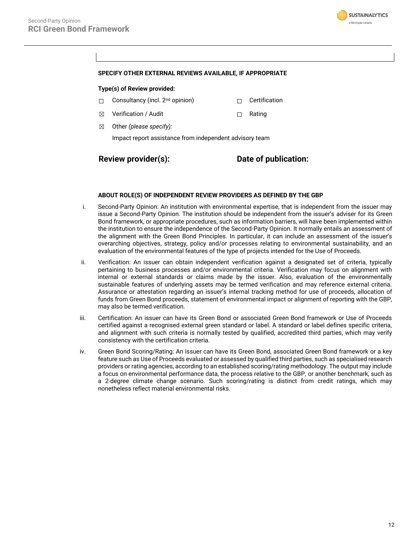

## **SPECIFY OTHER EXTERNAL REVIEWS AVAILABLE, IF APPROPRIATE**

#### **Type(s) of Review provided:**

- □ Consultancy (incl. 2<sup>nd</sup> opinion) □ □ Certification
- ☒ Verification / Audit ☐ Rating
- ☒ Other *(please specify):*

Impact report assistance from independent advisory team

# **Review provider(s): Date of publication:**

#### **ABOUT ROLE(S) OF INDEPENDENT REVIEW PROVIDERS AS DEFINED BY THE GBP**

- i. Second-Party Opinion: An institution with environmental expertise, that is independent from the issuer may issue a Second-Party Opinion. The institution should be independent from the issuer's adviser for its Green Bond framework, or appropriate procedures, such as information barriers, will have been implemented within the institution to ensure the independence of the Second-Party Opinion. It normally entails an assessment of the alignment with the Green Bond Principles. In particular, it can include an assessment of the issuer's overarching objectives, strategy, policy and/or processes relating to environmental sustainability, and an evaluation of the environmental features of the type of projects intended for the Use of Proceeds.
- ii. Verification: An issuer can obtain independent verification against a designated set of criteria, typically pertaining to business processes and/or environmental criteria. Verification may focus on alignment with internal or external standards or claims made by the issuer. Also, evaluation of the environmentally sustainable features of underlying assets may be termed verification and may reference external criteria. Assurance or attestation regarding an issuer's internal tracking method for use of proceeds, allocation of funds from Green Bond proceeds, statement of environmental impact or alignment of reporting with the GBP, may also be termed verification.
- iii. Certification: An issuer can have its Green Bond or associated Green Bond framework or Use of Proceeds certified against a recognised external green standard or label. A standard or label defines specific criteria, and alignment with such criteria is normally tested by qualified, accredited third parties, which may verify consistency with the certification criteria.
- iv. Green Bond Scoring/Rating: An issuer can have its Green Bond, associated Green Bond framework or a key feature such as Use of Proceeds evaluated or assessed by qualified third parties, such as specialised research providers or rating agencies, according to an established scoring/rating methodology. The output may include a focus on environmental performance data, the process relative to the GBP, or another benchmark, such as a 2-degree climate change scenario. Such scoring/rating is distinct from credit ratings, which may nonetheless reflect material environmental risks.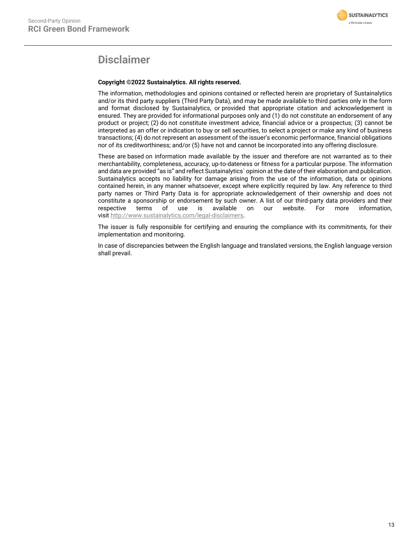

# **Disclaimer**

# **Copyright ©2022 Sustainalytics. All rights reserved.**

The information, methodologies and opinions contained or reflected herein are proprietary of Sustainalytics and/or its third party suppliers (Third Party Data), and may be made available to third parties only in the form and format disclosed by Sustainalytics, or provided that appropriate citation and acknowledgement is ensured. They are provided for informational purposes only and (1) do not constitute an endorsement of any product or project; (2) do not constitute investment advice, financial advice or a prospectus; (3) cannot be interpreted as an offer or indication to buy or sell securities, to select a project or make any kind of business transactions; (4) do not represent an assessment of the issuer's economic performance, financial obligations nor of its creditworthiness; and/or (5) have not and cannot be incorporated into any offering disclosure.

These are based on information made available by the issuer and therefore are not warranted as to their merchantability, completeness, accuracy, up-to-dateness or fitness for a particular purpose. The information and data are provided "as is" and reflect Sustainalytics` opinion at the date of their elaboration and publication. Sustainalytics accepts no liability for damage arising from the use of the information, data or opinions contained herein, in any manner whatsoever, except where explicitly required by law. Any reference to third party names or Third Party Data is for appropriate acknowledgement of their ownership and does not constitute a sponsorship or endorsement by such owner. A list of our third-party data providers and their respective terms of use is available on our website. For more information, visit [http://www.sustainalytics.com/legal-disclaimers.](http://www.sustainalytics.com/legal-disclaimers)

The issuer is fully responsible for certifying and ensuring the compliance with its commitments, for their implementation and monitoring.

In case of discrepancies between the English language and translated versions, the English language version shall prevail.